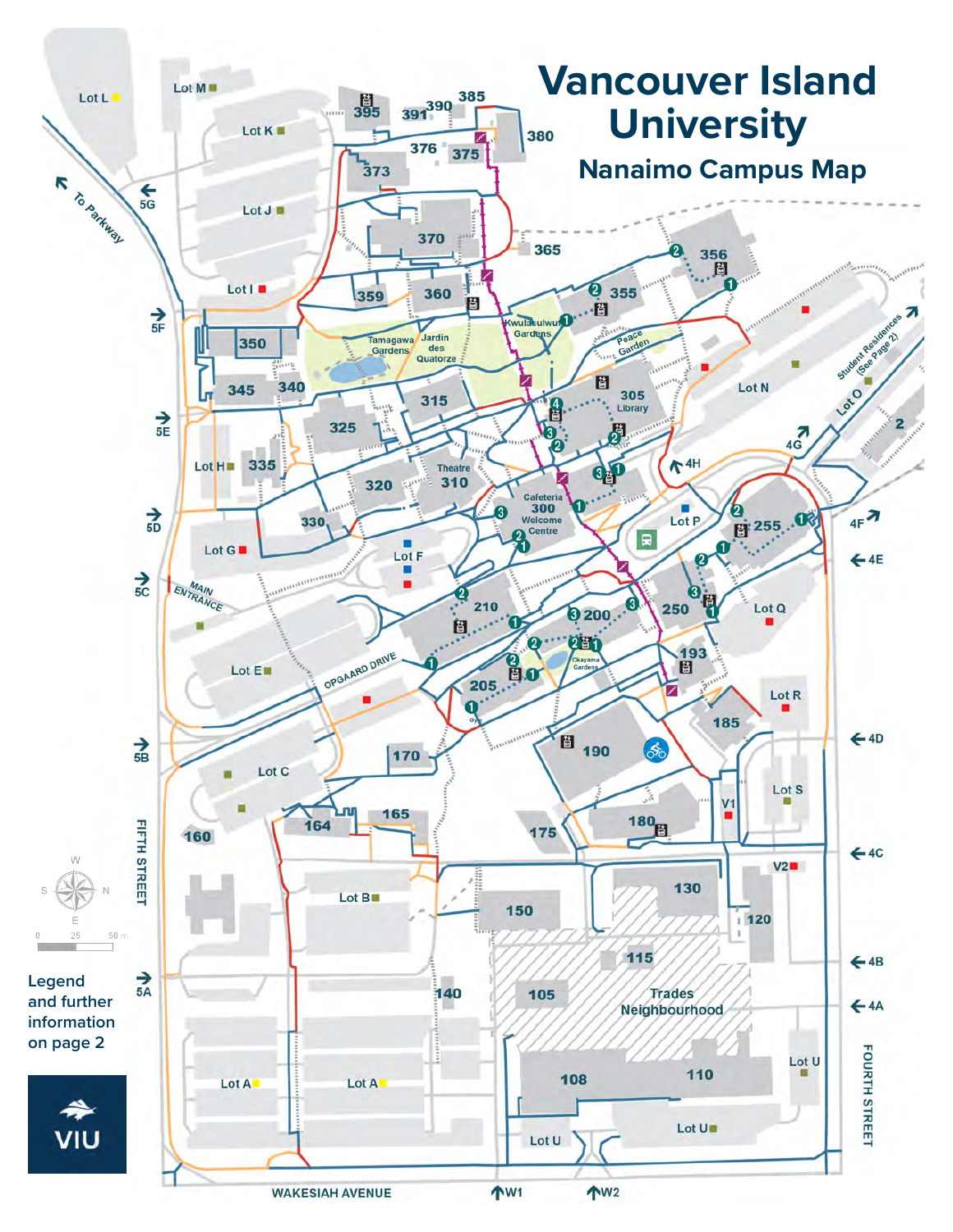